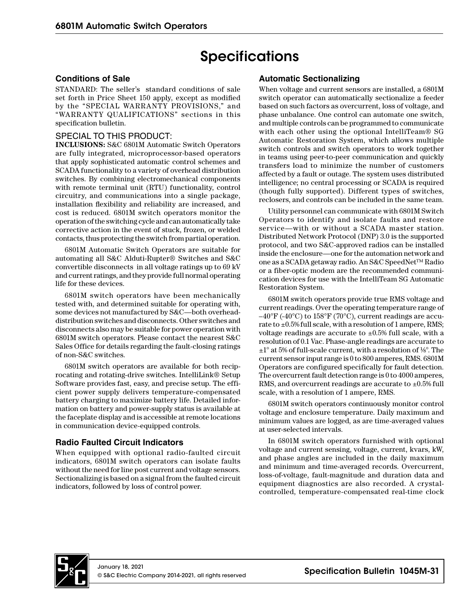# **Specifications**

# **Conditions of Sale**

STANDARD: The seller's standard conditions of sale set forth in Price Sheet 150 apply, except as modified by the "SPECIAL WARRANTY PROVISIONS," and "WARRANTY QUALIFICATIONS" sections in this specification bulletin.

# SPECIAL TO THIS PRODUCT:

**INCLUSIONS:** S&C 6801M Automatic Switch Operators are fully integrated, microprocessor-based operators that apply sophisticated automatic control schemes and SCADA functionality to a variety of overhead distribution switches. By combining electromechanical components with remote terminal unit (RTU) functionality, control circuitry, and communications into a single package, installation flexibility and reliability are increased, and cost is reduced. 6801M switch operators monitor the operation of the switching cycle and can automatically take corrective action in the event of stuck, frozen, or welded contacts, thus protecting the switch from partial operation.

6801M Automatic Switch Operators are suitable for automating all S&C Alduti-Rupter® Switches and S&C convertible disconnects in all voltage ratings up to 69 kV and current ratings, and they provide full normal operating life for these devices.

6801M switch operators have been mechanically tested with, and determined suitable for operating with, some devices not manufactured by S&C—both overheaddistribution switches and disconnects. Other switches and disconnects also may be suitable for power operation with 6801M switch operators. Please contact the nearest S&C Sales Office for details regarding the fault-closing ratings of non-S&C switches.

6801M switch operators are available for both reciprocating and rotating-drive switches. IntelliLink® Setup Software provides fast, easy, and precise setup. The efficient power supply delivers temperature-compensated battery charging to maximize battery life. Detailed information on battery and power-supply status is available at the faceplate display and is accessible at remote locations in communication device-equipped controls.

# **Radio Faulted Circuit Indicators**

When equipped with optional radio-faulted circuit indicators, 6801M switch operators can isolate faults without the need for line post current and voltage sensors. Sectionalizing is based on a signal from the faulted circuit indicators, followed by loss of control power.

# **Automatic Sectionalizing**

When voltage and current sensors are installed, a 6801M switch operator can automatically sectionalize a feeder based on such factors as overcurrent, loss of voltage, and phase unbalance. One control can automate one switch, and multiple controls can be programmed to communicate with each other using the optional IntelliTeam® SG Automatic Restoration System, which allows multiple switch controls and switch operators to work together in teams using peer-to-peer communication and quickly transfers load to minimize the number of customers affected by a fault or outage. The system uses distributed intelligence; no central processing or SCADA is required (though fully supported). Different types of switches, reclosers, and controls can be included in the same team.

Utility personnel can communicate with 6801M Switch Operators to identify and isolate faults and restore service—with or without a SCADA master station. Distributed Network Protocol (DNP) 3.0 is the supported protocol, and two S&C-approved radios can be installed inside the enclosure—one for the automation network and one as a SCADA getaway radio. An S&C SpeedNet™ Radio or a fiber-optic modem are the recommended communication devices for use with the IntelliTeam SG Automatic Restoration System.

6801M switch operators provide true RMS voltage and current readings. Over the operating temperature range of  $-40^{\circ}$ F (-40°C) to 158°F (70°C), current readings are accurate to  $\pm 0.5\%$  full scale, with a resolution of 1 ampere, RMS; voltage readings are accurate to  $\pm 0.5\%$  full scale, with a resolution of 0.1 Vac. Phase-angle readings are accurate to ±1° at 5% of full-scale current, with a resolution of 1∕8°. The current sensor input range is 0 to 800 amperes, RMS. 6801M Operators are configured specifically for fault detection. The overcurrent fault detection range is 0 to 4000 amperes, RMS, and overcurrent readings are accurate to  $\pm 0.5\%$  full scale, with a resolution of 1 ampere, RMS.

6801M switch operators continuously monitor control voltage and enclosure temperature. Daily maximum and minimum values are logged, as are time-averaged values at user-selected intervals.

In 6801M switch operators furnished with optional voltage and current sensing, voltage, current, kvars, kW, and phase angles are included in the daily maximum and minimum and time-averaged records. Overcurrent, loss-of-voltage, fault-magnitude and duration data and equipment diagnostics are also recorded. A crystalcontrolled, temperature-compensated real-time clock

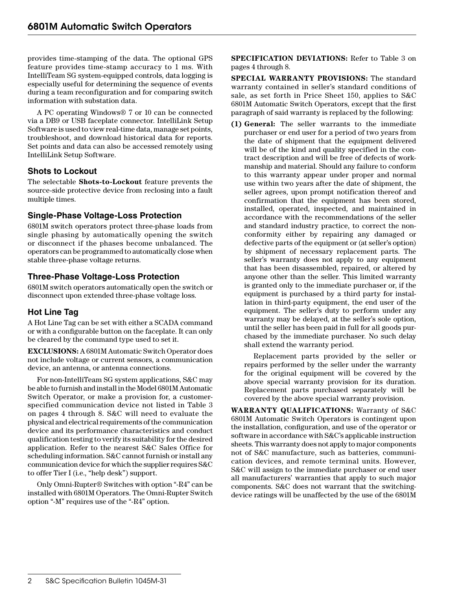provides time-stamping of the data. The optional GPS feature provides time-stamp accuracy to 1 ms. With IntelliTeam SG system-equipped controls, data logging is especially useful for determining the sequence of events during a team reconfiguration and for comparing switch information with substation data.

A PC operating Windows® 7 or 10 can be connected via a DB9 or USB faceplate connector. IntelliLink Setup Software is used to view real-time data, manage set points, troubleshoot, and download historical data for reports. Set points and data can also be accessed remotely using IntelliLink Setup Software.

# **Shots to Lockout**

The selectable **Shots-to-Lockout** feature prevents the source-side protective device from reclosing into a fault multiple times.

# **Single-Phase Voltage-Loss Protection**

6801M switch operators protect three-phase loads from single phasing by automatically opening the switch or disconnect if the phases become unbalanced. The operators can be programmed to automatically close when stable three-phase voltage returns.

## **Three-Phase Voltage-Loss Protection**

6801M switch operators automatically open the switch or disconnect upon extended three-phase voltage loss.

## **Hot Line Tag**

A Hot Line Tag can be set with either a SCADA command or with a configurable button on the faceplate. It can only be cleared by the command type used to set it.

**EXCLUSIONS:** A 6801M Automatic Switch Operator does not include voltage or current sensors, a communication device, an antenna, or antenna connections.

For non-IntelliTeam SG system applications, S&C may be able to furnish and install in the Model 6801M Automatic Switch Operator, or make a provision for, a customerspecified communication device not listed in Table 3 on pages 4 through 8. S&C will need to evaluate the physical and electrical requirements of the communication device and its performance characteristics and conduct qualification testing to verify its suitability for the desired application. Refer to the nearest S&C Sales Office for scheduling information. S&C cannot furnish or install any communication device for which the supplier requires S&C to offer Tier I (i.e., "help desk") support.

Only Omni-Rupter® Switches with option "-R4" can be installed with 6801M Operators. The Omni-Rupter Switch option "-M" requires use of the "-R4" option.

**SPECIFICATION DEVIATIONS:** Refer to Table 3 on pages 4 through 8.

**SPECIAL WARRANTY PROVISIONS:** The standard warranty contained in seller's standard conditions of sale, as set forth in Price Sheet 150, applies to S&C 6801M Automatic Switch Operators, except that the first paragraph of said warranty is replaced by the following:

**(1) General:** The seller warrants to the immediate purchaser or end user for a period of two years from the date of shipment that the equipment delivered will be of the kind and quality specified in the contract description and will be free of defects of workmanship and material. Should any failure to conform to this warranty appear under proper and normal use within two years after the date of shipment, the seller agrees, upon prompt notification thereof and confirmation that the equipment has been stored, installed, operated, inspected, and maintained in accordance with the recommendations of the seller and standard industry practice, to correct the nonconformity either by repairing any damaged or defective parts of the equipment or (at seller's option) by shipment of necessary replacement parts. The seller's warranty does not apply to any equipment that has been disassembled, repaired, or altered by anyone other than the seller. This limited warranty is granted only to the immediate purchaser or, if the equipment is purchased by a third party for installation in third-party equipment, the end user of the equipment. The seller's duty to perform under any warranty may be delayed, at the seller's sole option, until the seller has been paid in full for all goods purchased by the immediate purchaser. No such delay shall extend the warranty period.

Replacement parts provided by the seller or repairs performed by the seller under the warranty for the original equipment will be covered by the above special warranty provision for its duration. Replacement parts purchased separately will be covered by the above special warranty provision.

**WARRANTY QUALIFICATIONS:** Warranty of S&C 6801M Automatic Switch Operators is contingent upon the installation, configuration, and use of the operator or software in accordance with S&C's applicable instruction sheets. This warranty does not apply to major components not of S&C manufacture, such as batteries, communication devices, and remote terminal units. However, S&C will assign to the immediate purchaser or end user all manufacturers' warranties that apply to such major components. S&C does not warrant that the switchingdevice ratings will be unaffected by the use of the 6801M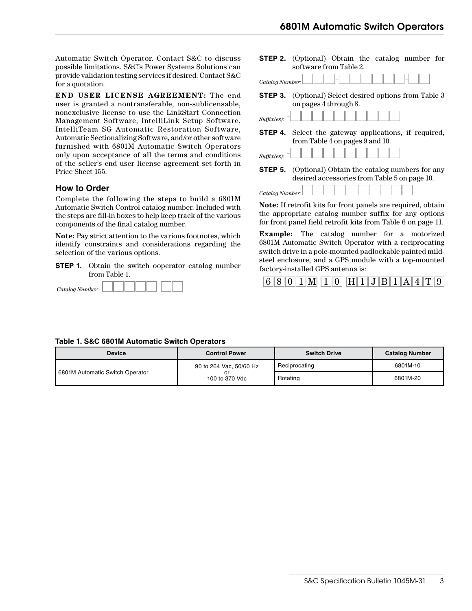Automatic Switch Operator. Contact S&C to discuss possible limitations. S&C's Power Systems Solutions can provide validation testing services if desired. Contact S&C for a quotation.

**END USER LICENSE AGREEMENT:** The end user is granted a nontransferable, non-sublicensable, nonexclusive license to use the LinkStart Connection Management Software, IntelliLink Setup Software, IntelliTeam SG Automatic Restoration Software, Automatic Sectionalizing Software, and/or other software furnished with 6801M Automatic Switch Operators only upon acceptance of all the terms and conditions of the seller's end user license agreement set forth in Price Sheet 155.

## **How to Order**

Complete the following the steps to build a 6801M Automatic Switch Control catalog number. Included with the steps are fill-in boxes to help keep track of the various components of the final catalog number.

**Note:** Pay strict attention to the various footnotes, which identify constraints and considerations regarding the selection of the various options.

**STEP 1.** Obtain the switch ooperator catalog number from Table 1.



| software from Table 2.                                                                          |
|-------------------------------------------------------------------------------------------------|
| Catalog Number:                                                                                 |
| <b>STEP 3.</b> (Optional) Select desired options from Table 3<br>on pages 4 through 8.          |
| Suffix(es): $\overline{\phantom{a}}$                                                            |
| <b>STEP 4.</b> Select the gateway applications, if required,<br>from Table 4 on pages 9 and 10. |
| Suffix(es):                                                                                     |

**STEP 2.** (Optional) Obtain the catalog number for

**STEP 5.** (Optional) Obtain the catalog numbers for any desired accessories from Table 5 on page 10.

| Catalog Number: |  |  |  |  |  |
|-----------------|--|--|--|--|--|

**Note:** If retrofit kits for front panels are required, obtain the appropriate catalog number suffix for any options for front panel field retrofit kits from Table 6 on page 11.

**Example:** The catalog number for a motorized 6801M Automatic Switch Operator with a reciprocating switch drive in a pole-mounted padlockable painted mildsteel enclosure, and a GPS module with a top-mounted factory-installed GPS antenna is:



#### **Table 1. S&C 6801M Automatic Switch Operators**

| <b>Device</b>                                           | <b>Control Power</b>    | <b>Switch Drive</b> | <b>Catalog Number</b> |
|---------------------------------------------------------|-------------------------|---------------------|-----------------------|
|                                                         | 90 to 264 Vac, 50/60 Hz | Reciprocating       | 6801M-10              |
| 6801M Automatic Switch Operator<br>or<br>100 to 370 Vdc |                         | Rotating            | 6801M-20              |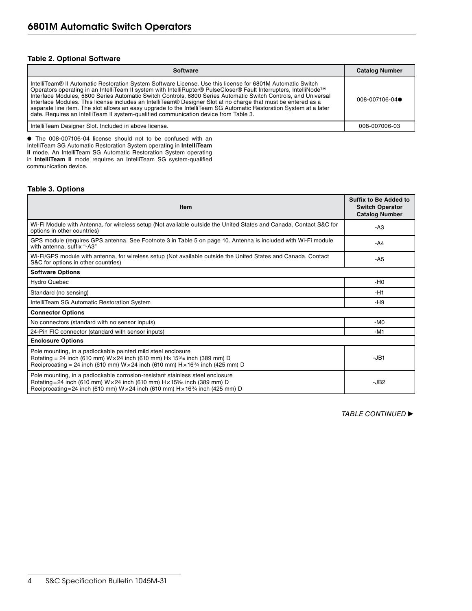#### **Table 2. Optional Software**

| <b>Software</b>                                                                                                                                                                                                                                                                                                                                                                                                                                                                                                                                                                                                                                                                 | <b>Catalog Number</b> |
|---------------------------------------------------------------------------------------------------------------------------------------------------------------------------------------------------------------------------------------------------------------------------------------------------------------------------------------------------------------------------------------------------------------------------------------------------------------------------------------------------------------------------------------------------------------------------------------------------------------------------------------------------------------------------------|-----------------------|
| IntelliTeam® II Automatic Restoration System Software License. Use this license for 6801M Automatic Switch<br>Operators operating in an IntelliTeam II system with IntelliRupter® PulseCloser® Fault Interrupters, IntelliNode™<br>Interface Modules, 5800 Series Automatic Switch Controls, 6800 Series Automatic Switch Controls, and Universal<br>Interface Modules. This license includes an IntelliTeam® Designer Slot at no charge that must be entered as a<br>separate line item. The slot allows an easy upgrade to the IntelliTeam SG Automatic Restoration System at a later<br>date. Requires an IntelliTeam II system-qualified communication device from Table 3. | 008-007106-04         |
| IntelliTeam Designer Slot. Included in above license.                                                                                                                                                                                                                                                                                                                                                                                                                                                                                                                                                                                                                           | 008-007006-03         |

● The 008-007106-04 license should not to be confused with an IntelliTeam SG Automatic Restoration System operating in **IntelliTeam II** mode. An IntelliTeam SG Automatic Restoration System operating in **IntelliTeam II** mode requires an IntelliTeam SG system-qualified communication device.

#### **Table 3. Options**

| <b>Item</b>                                                                                                                                                                                                                                                          | <b>Suffix to Be Added to</b><br><b>Switch Operator</b><br><b>Catalog Number</b> |
|----------------------------------------------------------------------------------------------------------------------------------------------------------------------------------------------------------------------------------------------------------------------|---------------------------------------------------------------------------------|
| Wi-Fi Module with Antenna, for wireless setup (Not available outside the United States and Canada. Contact S&C for<br>options in other countries)                                                                                                                    | -A3                                                                             |
| GPS module (requires GPS antenna. See Footnote 3 in Table 5 on page 10. Antenna is included with Wi-Fi module<br>with antenna. suffix "-A3"                                                                                                                          | -A4                                                                             |
| Wi-Fi/GPS module with antenna, for wireless setup (Not available outside the United States and Canada. Contact<br>S&C for options in other countries)                                                                                                                | -A5                                                                             |
| <b>Software Options</b>                                                                                                                                                                                                                                              |                                                                                 |
| <b>Hydro Quebec</b>                                                                                                                                                                                                                                                  | $-H0$                                                                           |
| Standard (no sensing)                                                                                                                                                                                                                                                | $-H1$                                                                           |
| IntelliTeam SG Automatic Restoration System                                                                                                                                                                                                                          | -H9                                                                             |
| <b>Connector Options</b>                                                                                                                                                                                                                                             |                                                                                 |
| No connectors (standard with no sensor inputs)                                                                                                                                                                                                                       | $-MO$                                                                           |
| 24-Pin FIC connector (standard with sensor inputs)                                                                                                                                                                                                                   | $-M1$                                                                           |
| <b>Enclosure Options</b>                                                                                                                                                                                                                                             |                                                                                 |
| Pole mounting, in a padlockable painted mild steel enclosure<br>Rotating = 24 inch (610 mm) $W \times 24$ inch (610 mm) $H \times 15\%$ inch (389 mm) D<br>Reciprocating = 24 inch (610 mm) $W \times 24$ inch (610 mm) $H \times 16\frac{3}{4}$ inch (425 mm) D     | $-JB1$                                                                          |
| Pole mounting, in a padlockable corrosion-resistant stainless steel enclosure<br>Rotating = 24 inch (610 mm) $W \times 24$ inch (610 mm) $H \times 15\%$ inch (389 mm) D<br>Reciprocating=24 inch (610 mm) W × 24 inch (610 mm) H × 16 $\frac{3}{4}$ inch (425 mm) D | $-JB2$                                                                          |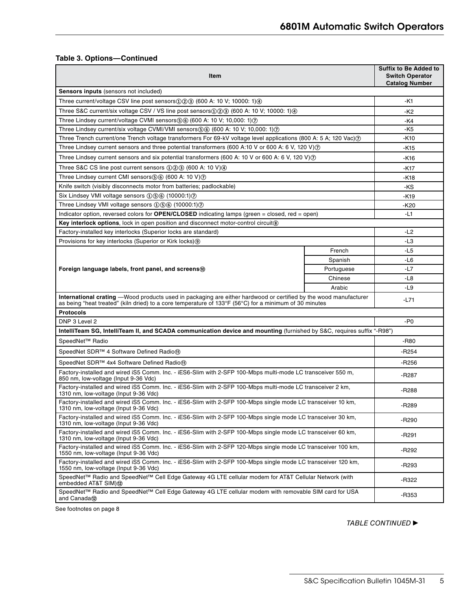## **Table 3. Options—Continued**

| Item                                                                                                                                                                                                                              | <b>Suffix to Be Added to</b><br><b>Switch Operator</b><br><b>Catalog Number</b> |         |
|-----------------------------------------------------------------------------------------------------------------------------------------------------------------------------------------------------------------------------------|---------------------------------------------------------------------------------|---------|
| Sensors inputs (sensors not included)                                                                                                                                                                                             |                                                                                 |         |
| Three current/voltage CSV line post sensors $(1)(2)(3)(600)$ A: 10 V; 10000: 1) $(4)$                                                                                                                                             |                                                                                 | -K1     |
| Three S&C current/six voltage CSV / VS line post sensors $(1)(2)(3)(600)$ A: 10 V; 10000: 1)(4)                                                                                                                                   |                                                                                 | -K2     |
| Three Lindsey current/voltage CVMI sensors $\mathfrak{S}$ $\mathfrak{S}$ $\mathfrak{S}$ (600 A: 10 V; 10,000: 1) $\mathfrak{D}$                                                                                                   |                                                                                 | -K4     |
| Three Lindsey current/six voltage CVMI/VMI sensors (600 A: 10 V; 10,000: 1) (7)                                                                                                                                                   |                                                                                 | -K5     |
| Three Trench current/one Trench voltage transformers For 69-kV voltage level applications (800 A: 5 A; 120 Vac) $\circ$                                                                                                           |                                                                                 | -K10    |
| Three Lindsey current sensors and three potential transformers (600 A:10 V or 600 A: 6 V, 120 V) $\circ$                                                                                                                          |                                                                                 | -K15    |
| Three Lindsey current sensors and six potential transformers (600 A: 10 V or 600 A: 6 V, 120 V) $(2)$                                                                                                                             |                                                                                 | -K16    |
| Three S&C CS line post current sensors $(1)(2)(3)$ (600 A: 10 V) $(4)$                                                                                                                                                            |                                                                                 | -K17    |
| Three Lindsey current CMI sensors(5) (600 A: 10 V) (7)                                                                                                                                                                            |                                                                                 | -K18    |
| Knife switch (visibly disconnects motor from batteries; padlockable)                                                                                                                                                              |                                                                                 | -KS     |
| Six Lindsey VMI voltage sensors ①⑤⑥ (10000:1)⑦                                                                                                                                                                                    |                                                                                 | -K19    |
| Three Lindsey VMI voltage sensors ①⑤⑥ (10000:1)⑦                                                                                                                                                                                  |                                                                                 | -K20    |
| Indicator option, reversed colors for <b>OPEN/CLOSED</b> indicating lamps (green $=$ closed, red $=$ open)                                                                                                                        |                                                                                 | -L1     |
| Key interlock options, lock in open position and disconnect motor-control circuit®                                                                                                                                                |                                                                                 |         |
| Factory-installed key interlocks (Superior locks are standard)                                                                                                                                                                    |                                                                                 | $-L2$   |
| Provisions for key interlocks (Superior or Kirk locks) (9)                                                                                                                                                                        |                                                                                 | $-L3$   |
|                                                                                                                                                                                                                                   | French                                                                          | $-L5$   |
|                                                                                                                                                                                                                                   | Spanish                                                                         | $-L6$   |
| Foreign language labels, front panel, and screens <sup>®</sup>                                                                                                                                                                    | $-L7$                                                                           |         |
|                                                                                                                                                                                                                                   | -L8                                                                             |         |
|                                                                                                                                                                                                                                   | $-L9$                                                                           |         |
| <b>International crating</b> —Wood products used in packaging are either hardwood or certified by the wood manufacturer<br>as being "heat treated" (kiln dried) to a core temperature of 133°F (56°C) for a minimum of 30 minutes |                                                                                 | -L71    |
| <b>Protocols</b>                                                                                                                                                                                                                  |                                                                                 |         |
| DNP 3 Level 2                                                                                                                                                                                                                     |                                                                                 | -P0     |
| IntelliTeam SG, IntelliTeam II, and SCADA communication device and mounting (furnished by S&C, requires suffix "-R98")                                                                                                            |                                                                                 |         |
| SpeedNet <sup>™</sup> Radio                                                                                                                                                                                                       | -R80                                                                            |         |
| SpeedNet SDR™ 4 Software Defined Radio <sub>10</sub>                                                                                                                                                                              | $-R254$                                                                         |         |
| SpeedNet SDR™ 4x4 Software Defined Radiom                                                                                                                                                                                         |                                                                                 | $-R256$ |
| Factory-installed and wired iS5 Comm. Inc. - iES6-Slim with 2-SFP 100-Mbps multi-mode LC transceiver 550 m,<br>850 nm, low-voltage (Input 9-36 Vdc)                                                                               |                                                                                 | -R287   |
| Factory-installed and wired iS5 Comm. Inc. - iES6-Slim with 2-SFP 100-Mbps multi-mode LC transceiver 2 km,<br>1310 nm, low-voltage (Input 9-36 Vdc)                                                                               | -R288                                                                           |         |
| Factory-installed and wired iS5 Comm. Inc. - iES6-Slim with 2-SFP 100-Mbps single mode LC transceiver 10 km,<br>1310 nm, low-voltage (Input 9-36 Vdc)                                                                             | $-R289$                                                                         |         |
| Factory-installed and wired iS5 Comm. Inc. - iES6-Slim with 2-SFP 100-Mbps single mode LC transceiver 30 km,<br>1310 nm, low-voltage (Input 9-36 Vdc)                                                                             | $-R290$                                                                         |         |
| Factory-installed and wired iS5 Comm. Inc. - iES6-Slim with 2-SFP 100-Mbps single mode LC transceiver 60 km,<br>1310 nm, low-voltage (Input 9-36 Vdc)                                                                             | -R291                                                                           |         |
| Factory-installed and wired iS5 Comm. Inc. - iES6-Slim with 2-SFP 120-Mbps single mode LC transceiver 100 km,<br>1550 nm, low-voltage (Input 9-36 Vdc)                                                                            | -R292                                                                           |         |
| Factory-installed and wired iS5 Comm. Inc. - iES6-Slim with 2-SFP 100-Mbps single mode LC transceiver 120 km,<br>1550 nm, low-voltage (Input 9-36 Vdc)                                                                            |                                                                                 | -R293   |
| SpeedNet™ Radio and SpeedNet™ Cell Edge Gateway 4G LTE cellular modem for AT&T Cellular Network (with<br>embedded AT&T SIM)@                                                                                                      |                                                                                 | -R322   |
| SpeedNet™ Radio and SpeedNet™ Cell Edge Gateway 4G LTE cellular modem with removable SIM card for USA<br>and Canada®                                                                                                              | -R353                                                                           |         |

See footnotes on page 8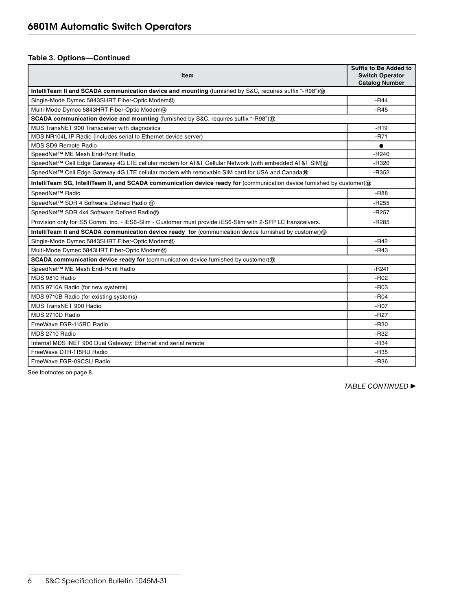## **Table 3. Options—Continued**

| Item                                                                                                                   | <b>Suffix to Be Added to</b><br><b>Switch Operator</b><br><b>Catalog Number</b> |
|------------------------------------------------------------------------------------------------------------------------|---------------------------------------------------------------------------------|
| IntelliTeam II and SCADA communication device and mounting (furnished by S&C, requires suffix "-R98") (3)              |                                                                                 |
| Single-Mode Dymec 5843SHRT Fiber-Optic Modem@                                                                          | $-R44$                                                                          |
| Multi-Mode Dymec 5843HRT Fiber-Optic Modem@                                                                            | $-R45$                                                                          |
| SCADA communication device and mounting (furnished by S&C, requires suffix "-R98")®                                    |                                                                                 |
| MDS TransNET 900 Transceiver with diagnostics                                                                          | $-R19$                                                                          |
| MDS NR104L IP Radio (includes serial to Ethernet device server)                                                        | $-R71$                                                                          |
| MDS SD9 Remote Radio                                                                                                   |                                                                                 |
| SpeedNet™ ME Mesh End-Point Radio                                                                                      | $-R240$                                                                         |
| SpeedNet™ Cell Edge Gateway 4G LTE cellular modem for AT&T Cellular Network (with embedded AT&T SIM) 6                 | -R320                                                                           |
| SpeedNet™ Cell Edge Gateway 4G LTE cellular modem with removable SIM card for USA and Canada®                          | -R352                                                                           |
| IntelliTeam SG, IntelliTeam II, and SCADA communication device ready for (communication device furnished by customer)® |                                                                                 |
| SpeedNet <sup>™</sup> Radio                                                                                            | -R88                                                                            |
| SpeedNet™ SDR 4 Software Defined Radio m                                                                               | -R255                                                                           |
| SpeedNet™ SDR 4x4 Software Defined Radiom                                                                              | $-R257$                                                                         |
| Provision only for iS5 Comm. Inc. - iES6-Slim - Customer must provide iES6-Slim with 2-SFP LC transceivers.            | $-R285$                                                                         |
| IntelliTeam II and SCADA communication device ready for (communication device furnished by customer) ®                 |                                                                                 |
| Single-Mode Dymec 5843SHRT Fiber-Optic Modem@                                                                          | $-R42$                                                                          |
| Multi-Mode Dymec 5843HRT Fiber-Optic Modem@                                                                            | $-R43$                                                                          |
| SCADA communication device ready for (communication device furnished by customer)(3)                                   |                                                                                 |
| SpeedNet™ ME Mesh End-Point Radio                                                                                      | -R241                                                                           |
| MDS 9810 Radio                                                                                                         | $-R02$                                                                          |
| MDS 9710A Radio (for new systems)                                                                                      | $-R03$                                                                          |
| MDS 9710B Radio (for existing systems)                                                                                 | $-R04$                                                                          |
| MDS TransNET 900 Radio                                                                                                 | -R <sub>07</sub>                                                                |
| MDS 2710D Radio                                                                                                        | $-R27$                                                                          |
| FreeWave FGR-115RC Radio                                                                                               | $-R30$                                                                          |
| MDS 2710 Radio                                                                                                         | $-R32$                                                                          |
| Internal MDS iNET 900 Dual Gateway: Ethernet and serial remote                                                         | $-R34$                                                                          |
| FreeWave DTR-115RU Radio                                                                                               | $-R35$                                                                          |
| FreeWave FGR-09CSU Radio                                                                                               | -R36                                                                            |

See footnotes on page 8.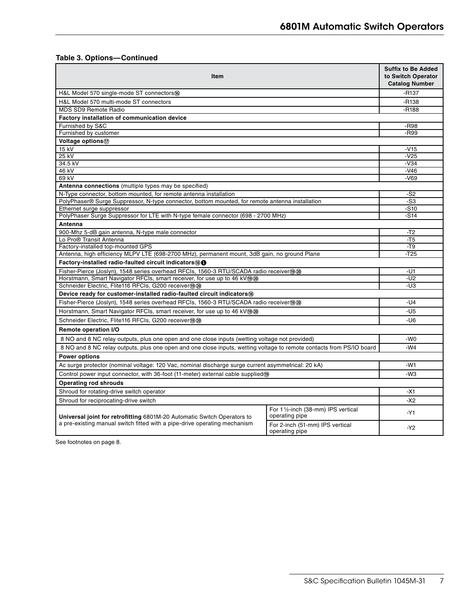# **Table 3. Options—Continued**

| Item                                                                                                                 | <b>Suffix to Be Added</b><br>to Switch Operator<br><b>Catalog Number</b> |         |  |  |
|----------------------------------------------------------------------------------------------------------------------|--------------------------------------------------------------------------|---------|--|--|
| H&L Model 570 single-mode ST connectors (6)                                                                          |                                                                          | $-R137$ |  |  |
| H&L Model 570 multi-mode ST connectors                                                                               |                                                                          | $-R138$ |  |  |
| <b>MDS SD9 Remote Radio</b>                                                                                          |                                                                          | $-R188$ |  |  |
| Factory installation of communication device                                                                         |                                                                          |         |  |  |
| Furnished by S&C                                                                                                     |                                                                          | -R98    |  |  |
| Furnished by customer                                                                                                |                                                                          | -R99    |  |  |
| Voltage options (7)                                                                                                  |                                                                          |         |  |  |
| 15 kV                                                                                                                |                                                                          | $-V15$  |  |  |
| 25 kV                                                                                                                | $-V25$                                                                   |         |  |  |
| 34.5 kV                                                                                                              |                                                                          | $-V34$  |  |  |
| 46 kV                                                                                                                |                                                                          | $-V46$  |  |  |
| 69 kV                                                                                                                |                                                                          | $-V69$  |  |  |
| Antenna connections (multiple types may be specified)                                                                |                                                                          |         |  |  |
| N-Type connector, bottom mounted, for remote antenna installation                                                    |                                                                          | $-S2$   |  |  |
| PolyPhaser® Surge Suppressor, N-type connector, bottom mounted, for remote antenna installation                      |                                                                          | -S3     |  |  |
| Ethernet surge suppressor                                                                                            |                                                                          | $-S10$  |  |  |
| PolyPhaser Surge Suppressor for LTE with N-type female connector (698 - 2700 MHz)                                    |                                                                          | $-S14$  |  |  |
| Antenna                                                                                                              |                                                                          |         |  |  |
| 900-Mhz 5-dB gain antenna, N-type male connector<br>Lo Pro® Transit Antenna                                          | $-T2$<br>-T5                                                             |         |  |  |
| Factory-installed top-mounted GPS                                                                                    |                                                                          | $-T9$   |  |  |
| Antenna, high efficiency MLPV LTE (698-2700 MHz), permanent mount, 3dB gain, no ground Plane                         |                                                                          | $-T25$  |  |  |
| Factory-installed radio-faulted circuit indicators® @                                                                |                                                                          |         |  |  |
| Fisher-Pierce (Joslyn), 1548 series overhead RFCIs, 1560-3 RTU/SCADA radio receiver manufolder                       |                                                                          | -U1     |  |  |
| Horstmann, Smart Navigator RFCIs, smart receiver, for use up to 46 kV®                                               |                                                                          | -U2     |  |  |
| Schneider Electric, Flite116 RFCIs, G200 receiver <sup>®</sup>                                                       |                                                                          | -U3     |  |  |
| Device ready for customer-installed radio-faulted circuit indicators®                                                |                                                                          |         |  |  |
| Fisher-Pierce (Joslyn), 1548 series overhead RFCIs, 1560-3 RTU/SCADA radio receiver®@                                | $-U4$                                                                    |         |  |  |
| Horstmann, Smart Navigator RFCIs, smart receiver, for use up to 46 kV®                                               |                                                                          | $-U5$   |  |  |
| Schneider Electric, Flite116 RFCIs, G200 receiver®@                                                                  | -U6                                                                      |         |  |  |
| <b>Remote operation I/O</b>                                                                                          |                                                                          |         |  |  |
| 8 NO and 8 NC relay outputs, plus one open and one close inputs (wetting voltage not provided)                       | -W <sub>0</sub>                                                          |         |  |  |
| 8 NO and 8 NC relay outputs, plus one open and one close inputs, wetting voltage to remote contacts from PS/IO board | $-W4$                                                                    |         |  |  |
| <b>Power options</b>                                                                                                 |                                                                          |         |  |  |
| Ac surge protector (nominal voltage: 120 Vac, nominal discharge surge current asymmetrical: 20 kA)                   | -W1                                                                      |         |  |  |
| Control power input connector, with 36-foot (11-meter) external cable supplied®                                      | -W3                                                                      |         |  |  |
| <b>Operating rod shrouds</b>                                                                                         |                                                                          |         |  |  |
| Shroud for rotating-drive switch operator                                                                            | -X1                                                                      |         |  |  |
| Shroud for reciprocating-drive switch                                                                                | -X2                                                                      |         |  |  |
| Universal joint for retrofitting 6801M-20 Automatic Switch Operators to                                              | -Y1                                                                      |         |  |  |
| a pre-existing manual switch fitted with a pipe-drive operating mechanism                                            | For 2-inch (51-mm) IPS vertical<br>operating pipe                        | $-Y2$   |  |  |

See footnotes on page 8.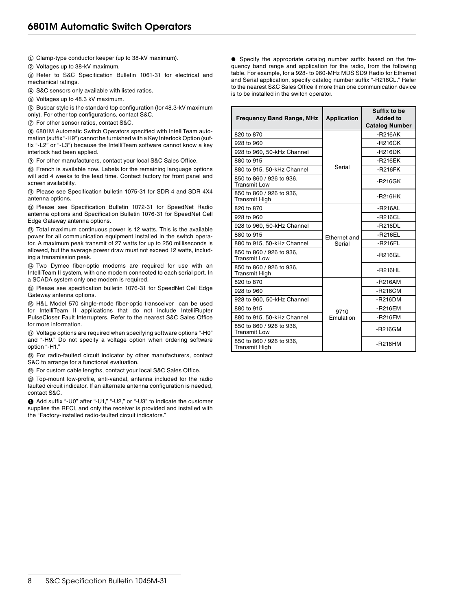**①** Clamp-type conductor keeper (up to 38-kV maximum).

**②** Voltages up to 38-kV maximum.

**③** Refer to S&C Specification Bulletin 1061-31 for electrical and mechanical ratings.

**④** S&C sensors only available with listed ratios.

**⑤** Voltages up to 48.3 kV maximum.

**⑥** Busbar style is the standard top configuration (for 48.3-kV maximum only). For other top configurations, contact S&C.

**⑦** For other sensor ratios, contact S&C.

**⑧** 6801M Automatic Switch Operators specified with IntelliTeam automation (suffix "-H9") cannot be furnished with a Key Interlock Option (suffix "-L2" or "-L3") because the IntelliTeam software cannot know a key interlock had been applied.

**⑨** For other manufacturers, contact your local S&C Sales Office.

**⑩** French is available now. Labels for the remaining language options will add 4 weeks to the lead time. Contact factory for front panel and screen availability.

**⑪** Please see Specification bulletin 1075-31 for SDR 4 and SDR 4X4 antenna options.

**⑫** Please see Specification Bulletin 1072-31 for SpeedNet Radio antenna options and Specification Bulletin 1076-31 for SpeedNet Cell Edge Gateway antenna options.

**⑬** Total maximum continuous power is 12 watts. This is the available power for all communication equipment installed in the switch operator. A maximum peak transmit of 27 watts for up to 250 milliseconds is allowed, but the average power draw must not exceed 12 watts, including a transmission peak.

**⑭** Two Dymec fiber-optic modems are required for use with an IntelliTeam II system, with one modem connected to each serial port. In a SCADA system only one modem is required.

**⑮** Please see specification bulletin 1076-31 for SpeedNet Cell Edge Gateway antenna options.

**⑯** H&L Model 570 single-mode fiber-optic transceiver can be used for IntelliTeam II applications that do not include IntelliRupter PulseCloser Fault Interrupters. Refer to the nearest S&C Sales Office for more information.

**⑰** Voltage options are required when specifying software options "-H0" and "-H9." Do not specify a voltage option when ordering software option "-H1."

**⑱** For radio-faulted circuit indicator by other manufacturers, contact S&C to arrange for a functional evaluation.

**⑲** For custom cable lengths, contact your local S&C Sales Office.

**⑳** Top-mount low-profile, anti-vandal, antenna included for the radio faulted circuit indicator. If an alternate antenna configuration is needed, contact S&C.

**❶** Add suffix "-U0" after "-U1," "-U2," or "-U3" to indicate the customer supplies the RFCI, and only the receiver is provided and installed with the "Factory-installed radio-faulted circuit indicators."

● Specify the appropriate catalog number suffix based on the frequency band range and application for the radio, from the following table. For example, for a 928- to 960-MHz MDS SD9 Radio for Ethernet and Serial application, specify catalog number suffix "-R216CL." Refer to the nearest S&C Sales Office if more than one communication device is to be installed in the switch operator.

| <b>Frequency Band Range, MHz</b>                 | <b>Application</b> | Suffix to be<br>Added to<br><b>Catalog Number</b> |
|--------------------------------------------------|--------------------|---------------------------------------------------|
| 820 to 870                                       |                    | $-R216AK$                                         |
| 928 to 960                                       |                    | $-R216CK$                                         |
| 928 to 960, 50-kHz Channel                       |                    | $-R216DK$                                         |
| 880 to 915                                       |                    | $-R216EK$                                         |
| 880 to 915, 50-kHz Channel                       | Serial             | $-R216FK$                                         |
| 850 to 860 / 926 to 936,<br><b>Transmit Low</b>  |                    | $-R216GK$                                         |
| 850 to 860 / 926 to 936.<br><b>Transmit High</b> |                    | $-R216HK$                                         |
| 820 to 870                                       |                    | $-R216AL$                                         |
| 928 to 960                                       |                    | $-R216CL$                                         |
| 928 to 960, 50-kHz Channel                       |                    | $-R216DL$                                         |
| 880 to 915                                       | Ethernet and       | $-R216EL$                                         |
| 880 to 915, 50-kHz Channel                       | Serial             | $-R216FL$                                         |
| 850 to 860 / 926 to 936,<br><b>Transmit Low</b>  |                    | $-R216GL$                                         |
| 850 to 860 / 926 to 936,<br><b>Transmit High</b> |                    | $-R216HL$                                         |
| 820 to 870                                       |                    | $-R216AM$                                         |
| 928 to 960                                       |                    | $-R216CM$                                         |
| 928 to 960, 50-kHz Channel                       |                    | $-R216DM$                                         |
| 880 to 915                                       | 9710               | -R216EM                                           |
| 880 to 915, 50-kHz Channel                       | Emulation          | $-R216FM$                                         |
| 850 to 860 / 926 to 936,<br><b>Transmit Low</b>  |                    | $-R216GM$                                         |
| 850 to 860 / 926 to 936,<br><b>Transmit High</b> |                    | $-R216HM$                                         |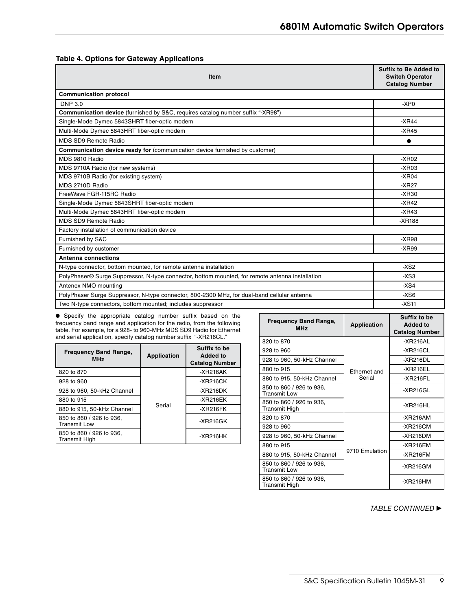|  |  |  |  | <b>Table 4. Options for Gateway Applications</b> |
|--|--|--|--|--------------------------------------------------|
|--|--|--|--|--------------------------------------------------|

| Item                                                                                            | Suffix to Be Added to<br><b>Switch Operator</b><br><b>Catalog Number</b> |
|-------------------------------------------------------------------------------------------------|--------------------------------------------------------------------------|
| <b>Communication protocol</b>                                                                   |                                                                          |
| <b>DNP 3.0</b>                                                                                  | $-XP0$                                                                   |
| <b>Communication device</b> (furnished by S&C, requires catalog number suffix "-XR98")          |                                                                          |
| Single-Mode Dymec 5843SHRT fiber-optic modem                                                    | $-XR44$                                                                  |
| Multi-Mode Dymec 5843HRT fiber-optic modem                                                      | $-XR45$                                                                  |
| MDS SD9 Remote Radio                                                                            | ●                                                                        |
| <b>Communication device ready for (communication device furnished by customer)</b>              |                                                                          |
| MDS 9810 Radio                                                                                  | $-XR02$                                                                  |
| MDS 9710A Radio (for new systems)                                                               | $-XR03$                                                                  |
| MDS 9710B Radio (for existing system)                                                           | $-XR04$                                                                  |
| MDS 2710D Radio                                                                                 | $-XR27$                                                                  |
| FreeWave FGR-115RC Radio                                                                        | $-XR30$                                                                  |
| Single-Mode Dymec 5843SHRT fiber-optic modem                                                    | $-XR42$                                                                  |
| Multi-Mode Dymec 5843HRT fiber-optic modem                                                      | $-XR43$                                                                  |
| MDS SD9 Remote Radio                                                                            | $-XR188$                                                                 |
| Factory installation of communication device                                                    |                                                                          |
| Furnished by S&C                                                                                | $-XR98$                                                                  |
| Furnished by customer                                                                           | $-XR99$                                                                  |
| Antenna connections                                                                             |                                                                          |
| N-type connector, bottom mounted, for remote antenna installation                               | $-XS2$                                                                   |
| PolyPhaser® Surge Suppressor, N-type connector, bottom mounted, for remote antenna installation | $-XS3$                                                                   |
| Antenex NMO mounting                                                                            | $-XS4$                                                                   |
| PolyPhaser Surge Suppressor, N-type connector, 800-2300 MHz, for dual-band cellular antenna     | $-XS6$                                                                   |
| Two N-type connectors, bottom mounted; includes suppressor                                      | $-XS11$                                                                  |

● Specify the appropriate catalog number suffix based on the frequency band range and application for the radio, from the following table. For example, for a 928- to 960-MHz MDS SD9 Radio for Ethernet and serial application, specify catalog number suffix "-XR216CL."

| <b>Frequency Band Range,</b><br><b>MHz</b> | Application | Suffix to be<br><b>Added to</b><br><b>Catalog Number</b> |
|--------------------------------------------|-------------|----------------------------------------------------------|
| 820 to 870                                 |             | $-XR216AK$                                               |
| 928 to 960                                 |             | $-XR216CK$                                               |
| 928 to 960, 50-kHz Channel                 | Serial      | $-XR216DK$                                               |
| 880 to 915                                 |             | $-XR216EK$                                               |
| 880 to 915, 50-kHz Channel                 |             | $-XR216FK$                                               |
| 850 to 860 / 926 to 936,<br>Transmit Low   |             | $-XR216GK$                                               |
| 850 to 860 / 926 to 936,<br>Transmit High  |             | $-XR216HK$                                               |

| <b>Frequency Band Range,</b><br><b>MHz</b>      | <b>Application</b>     | Suffix to be<br><b>Added to</b><br><b>Catalog Number</b> |  |
|-------------------------------------------------|------------------------|----------------------------------------------------------|--|
| 820 to 870                                      |                        | -XR216AL                                                 |  |
| 928 to 960                                      | Ethernet and<br>Serial | $-XR216CL$                                               |  |
| 928 to 960, 50-kHz Channel                      |                        | -XR216DL                                                 |  |
| 880 to 915                                      |                        | -XR216EL                                                 |  |
| 880 to 915, 50-kHz Channel                      |                        | $-XR216FL$                                               |  |
| 850 to 860 / 926 to 936,<br>Transmit Low        |                        | $-XR216GL$                                               |  |
| 850 to 860 / 926 to 936,<br>Transmit High       |                        | -XR216HL                                                 |  |
| 820 to 870                                      | 9710 Emulation         | $-XR216AM$                                               |  |
| 928 to 960                                      |                        | -XR216CM                                                 |  |
| 928 to 960, 50-kHz Channel                      |                        | -XR216DM                                                 |  |
| 880 to 915                                      |                        | $-XR216EM$                                               |  |
| 880 to 915, 50-kHz Channel                      |                        | $-XR216FM$                                               |  |
| 850 to 860 / 926 to 936,<br><b>Transmit Low</b> |                        | -XR216GM                                                 |  |
| 850 to 860 / 926 to 936,<br>Transmit High       |                        | -XR216HM                                                 |  |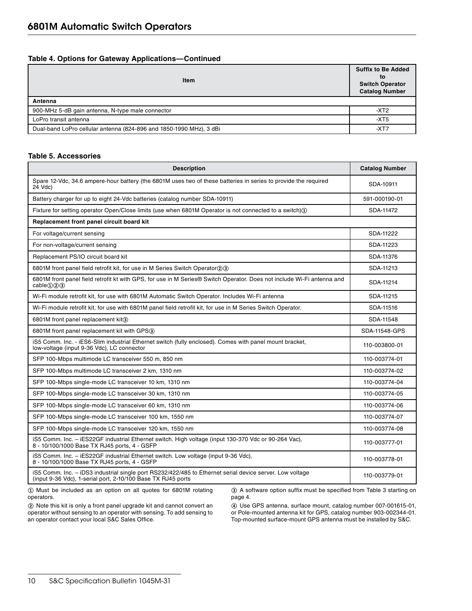## **Table 4. Options for Gateway Applications—Continued**

| <b>Item</b>                                                         | <b>Suffix to Be Added</b><br>to<br><b>Switch Operator</b><br><b>Catalog Number</b> |
|---------------------------------------------------------------------|------------------------------------------------------------------------------------|
| Antenna                                                             |                                                                                    |
| 900-MHz 5-dB gain antenna, N-type male connector                    | -XT <sub>2</sub>                                                                   |
| LoPro transit antenna                                               | -XT5                                                                               |
| Dual-band LoPro cellular antenna (824-896 and 1850-1990 MHz), 3 dBi | -XT7                                                                               |

#### **Table 5. Accessories**

| <b>Description</b>                                                                                                                                                       | <b>Catalog Number</b> |  |  |  |
|--------------------------------------------------------------------------------------------------------------------------------------------------------------------------|-----------------------|--|--|--|
| Spare 12-Vdc, 34.6 ampere-hour battery (the 6801M uses two of these batteries in series to provide the required<br>24 Vdc)                                               | SDA-10911             |  |  |  |
| Battery charger for up to eight 24-Vdc batteries (catalog number SDA-10911)                                                                                              | 591-000190-01         |  |  |  |
| Fixture for setting operator Open/Close limits (use when 6801M Operator is not connected to a switch) $(i)$                                                              | SDA-11472             |  |  |  |
| Replacement front panel circuit board kit                                                                                                                                |                       |  |  |  |
| For voltage/current sensing                                                                                                                                              | SDA-11222             |  |  |  |
| For non-voltage/current sensing                                                                                                                                          | SDA-11223             |  |  |  |
| Replacement PS/IO circuit board kit                                                                                                                                      | SDA-11376             |  |  |  |
| 6801M front panel field retrofit kit, for use in M Series Switch Operator(2)(3)                                                                                          | SDA-11213             |  |  |  |
| 6801M front panel field retrofit kt with GPS, for use in M Series® Switch Operator. Does not include Wi-Fi antenna and<br>cable(1)(2)(3)                                 | SDA-11214             |  |  |  |
| Wi-Fi module retrofit kit, for use with 6801M Automatic Switch Operator. Includes Wi-Fi antenna                                                                          | SDA-11215             |  |  |  |
| Wi-Fi module retrofit kit, for use with 6801M panel field retrofit kit, for use in M Series Switch Operator.                                                             | SDA-11516             |  |  |  |
| 6801M front panel replacement kit(3)                                                                                                                                     | SDA-11548             |  |  |  |
| 6801M front panel replacement kit with GPS(3)                                                                                                                            | SDA-11548-GPS         |  |  |  |
| iS5 Comm. Inc. - iES6-Slim industrial Ethernet switch (fully enclosed). Comes with panel mount bracket,<br>low-voltage (input 9-36 Vdc), LC connector                    | 110-003800-01         |  |  |  |
| SFP 100-Mbps multimode LC transceiver 550 m, 850 nm                                                                                                                      | 110-003774-01         |  |  |  |
| SFP 100-Mbps multimode LC transceiver 2 km, 1310 nm                                                                                                                      | 110-003774-02         |  |  |  |
| SFP 100-Mbps single-mode LC transceiver 10 km, 1310 nm                                                                                                                   | 110-003774-04         |  |  |  |
| SFP 100-Mbps single-mode LC transceiver 30 km, 1310 nm                                                                                                                   | 110-003774-05         |  |  |  |
| SFP 100-Mbps single-mode LC transceiver 60 km, 1310 nm                                                                                                                   | 110-003774-06         |  |  |  |
| SFP 100-Mbps single-mode LC transceiver 100 km, 1550 nm                                                                                                                  | 110-003774-07         |  |  |  |
| SFP 100-Mbps single-mode LC transceiver 120 km, 1550 nm                                                                                                                  | 110-003774-08         |  |  |  |
| iS5 Comm. Inc. - iES22GF industrial Ethernet switch. High voltage (input 130-370 Vdc or 90-264 Vac),<br>8 - 10/100/1000 Base TX RJ45 ports, 4 - GSFP                     | 110-003777-01         |  |  |  |
| iS5 Comm. Inc. - iES22GF industrial Ethernet switch. Low voltage (input 9-36 Vdc),<br>8 - 10/100/1000 Base TX RJ45 ports, 4 - GSFP                                       | 110-003778-01         |  |  |  |
| iS5 Comm. Inc. - iDS3 industrial single port RS232/422/485 to Ethernet serial device server. Low voltage<br>(input 9-36 Vdc), 1-serial port, 2-10/100 Base TX RJ45 ports | 110-003779-01         |  |  |  |

**①** Must be included as an option on all quotes for 6801M rotating operators.

**②** Note this kit is only a front panel upgrade kit and cannot convert an operator without sensing to an operator with sensing. To add sensing to an operator contact your local S&C Sales Office.

**③** A software option suffix must be specified from Table 3 starting on page 4.

**④** Use GPS antenna, surface mount, catalog number 007-001615-01, or Pole-mounted antenna kit for GPS, catalog number 903-002344-01. Top-mounted surface-mount GPS antenna must be installed by S&C.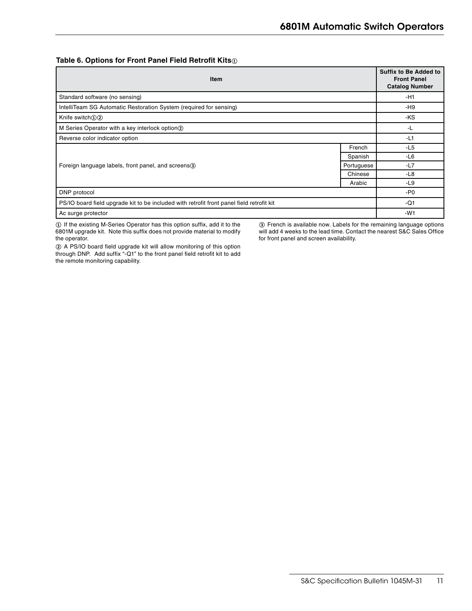#### **Table 6. Options for Front Panel Field Retrofit Kits<sup>①</sup>**

| <b>Item</b>                                                                               |            | <b>Suffix to Be Added to</b><br><b>Front Panel</b><br><b>Catalog Number</b> |
|-------------------------------------------------------------------------------------------|------------|-----------------------------------------------------------------------------|
| Standard software (no sensing)                                                            |            | -H1                                                                         |
| IntelliTeam SG Automatic Restoration System (required for sensing)                        |            | -H9                                                                         |
| Knife switch $(1)(2)$                                                                     |            | -KS                                                                         |
| M Series Operator with a key interlock option (2)                                         |            | -L                                                                          |
| Reverse color indicator option                                                            |            | $-L1$                                                                       |
|                                                                                           | French     | $-L5$                                                                       |
|                                                                                           | Spanish    | $-L6$                                                                       |
| Foreign language labels, front panel, and screens <sub>(3)</sub>                          | Portuguese | -L7                                                                         |
|                                                                                           | Chinese    | -L8                                                                         |
|                                                                                           | Arabic     | -L9                                                                         |
| DNP protocol                                                                              |            | -P0                                                                         |
| PS/IO board field upgrade kit to be included with retrofit front panel field retrofit kit |            | -Q1                                                                         |
| Ac surge protector                                                                        |            | $-W1$                                                                       |

**①** If the existing M-Series Operator has this option suffix, add it to the 6801M upgrade kit. Note this suffix does not provide material to modify the operator.

**③** French is available now. Labels for the remaining language options will add 4 weeks to the lead time. Contact the nearest S&C Sales Office for front panel and screen availability.

**②** A PS/IO board field upgrade kit will allow monitoring of this option through DNP. Add suffix "-Q1" to the front panel field retrofit kit to add the remote monitoring capability.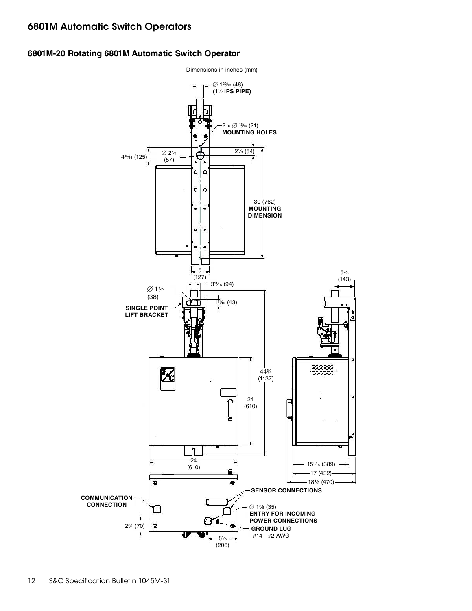# **6801M-20 Rotating 6801M Automatic Switch Operator**